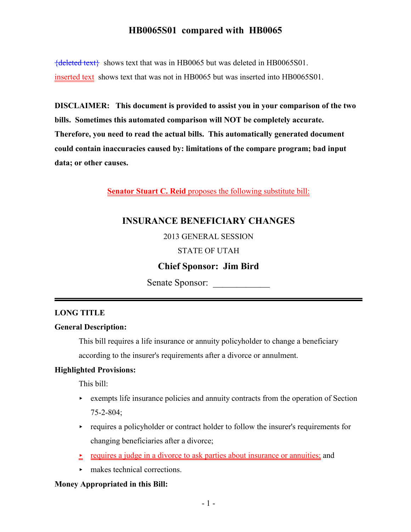${deleted text}$  shows text that was in HB0065 but was deleted in HB0065S01. inserted text shows text that was not in HB0065 but was inserted into HB0065S01.

**DISCLAIMER: This document is provided to assist you in your comparison of the two bills. Sometimes this automated comparison will NOT be completely accurate. Therefore, you need to read the actual bills. This automatically generated document could contain inaccuracies caused by: limitations of the compare program; bad input data; or other causes.**

**Senator Stuart C. Reid** proposes the following substitute bill:

## **INSURANCE BENEFICIARY CHANGES**

2013 GENERAL SESSION

#### STATE OF UTAH

## **Chief Sponsor: Jim Bird**

Senate Sponsor:

#### **LONG TITLE**

#### **General Description:**

This bill requires a life insurance or annuity policyholder to change a beneficiary

according to the insurer's requirements after a divorce or annulment.

#### **Highlighted Provisions:**

This bill:

- $\triangleright$  exempts life insurance policies and annuity contracts from the operation of Section 75-2-804;
- $\rightarrow$  requires a policyholder or contract holder to follow the insurer's requirements for changing beneficiaries after a divorce;
- $\geq$  requires a judge in a divorce to ask parties about insurance or annuities; and
- $\blacktriangleright$  makes technical corrections.

#### **Money Appropriated in this Bill:**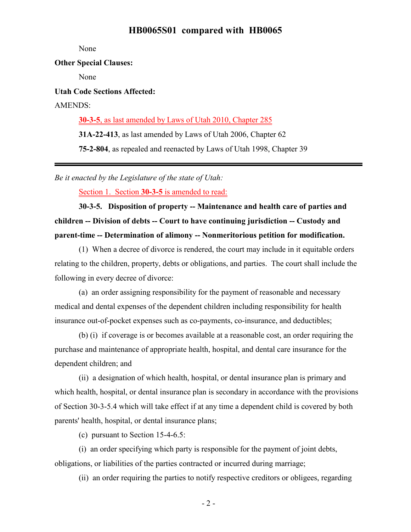None

# **Other Special Clauses:**

None

#### **Utah Code Sections Affected:**

AMENDS:

**30-3-5**, as last amended by Laws of Utah 2010, Chapter 285

**31A-22-413**, as last amended by Laws of Utah 2006, Chapter 62

**75-2-804**, as repealed and reenacted by Laws of Utah 1998, Chapter 39

*Be it enacted by the Legislature of the state of Utah:*

Section 1. Section **30-3-5** is amended to read:

**30-3-5. Disposition of property -- Maintenance and health care of parties and children -- Division of debts -- Court to have continuing jurisdiction -- Custody and parent-time -- Determination of alimony -- Nonmeritorious petition for modification.**

(1) When a decree of divorce is rendered, the court may include in it equitable orders relating to the children, property, debts or obligations, and parties. The court shall include the following in every decree of divorce:

(a) an order assigning responsibility for the payment of reasonable and necessary medical and dental expenses of the dependent children including responsibility for health insurance out-of-pocket expenses such as co-payments, co-insurance, and deductibles;

(b) (i) if coverage is or becomes available at a reasonable cost, an order requiring the purchase and maintenance of appropriate health, hospital, and dental care insurance for the dependent children; and

(ii) a designation of which health, hospital, or dental insurance plan is primary and which health, hospital, or dental insurance plan is secondary in accordance with the provisions of Section 30-3-5.4 which will take effect if at any time a dependent child is covered by both parents' health, hospital, or dental insurance plans;

(c) pursuant to Section 15-4-6.5:

(i) an order specifying which party is responsible for the payment of joint debts, obligations, or liabilities of the parties contracted or incurred during marriage;

(ii) an order requiring the parties to notify respective creditors or obligees, regarding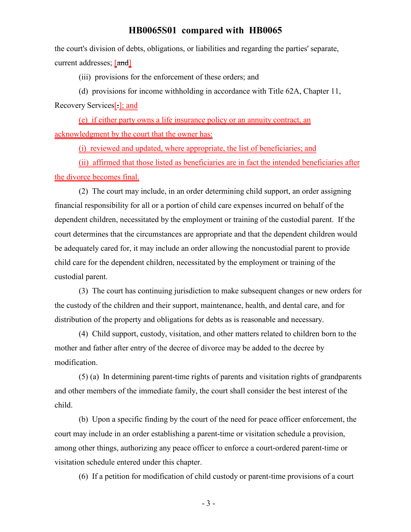the court's division of debts, obligations, or liabilities and regarding the parties' separate, current addresses; [and]

(iii) provisions for the enforcement of these orders; and

(d) provisions for income withholding in accordance with Title 62A, Chapter 11, Recovery Services[.]; and

(e) if either party owns a life insurance policy or an annuity contract, an acknowledgment by the court that the owner has:

(i) reviewed and updated, where appropriate, the list of beneficiaries; and

(ii) affirmed that those listed as beneficiaries are in fact the intended beneficiaries after the divorce becomes final.

(2) The court may include, in an order determining child support, an order assigning financial responsibility for all or a portion of child care expenses incurred on behalf of the dependent children, necessitated by the employment or training of the custodial parent. If the court determines that the circumstances are appropriate and that the dependent children would be adequately cared for, it may include an order allowing the noncustodial parent to provide child care for the dependent children, necessitated by the employment or training of the custodial parent.

(3) The court has continuing jurisdiction to make subsequent changes or new orders for the custody of the children and their support, maintenance, health, and dental care, and for distribution of the property and obligations for debts as is reasonable and necessary.

(4) Child support, custody, visitation, and other matters related to children born to the mother and father after entry of the decree of divorce may be added to the decree by modification.

(5) (a) In determining parent-time rights of parents and visitation rights of grandparents and other members of the immediate family, the court shall consider the best interest of the child.

(b) Upon a specific finding by the court of the need for peace officer enforcement, the court may include in an order establishing a parent-time or visitation schedule a provision, among other things, authorizing any peace officer to enforce a court-ordered parent-time or visitation schedule entered under this chapter.

(6) If a petition for modification of child custody or parent-time provisions of a court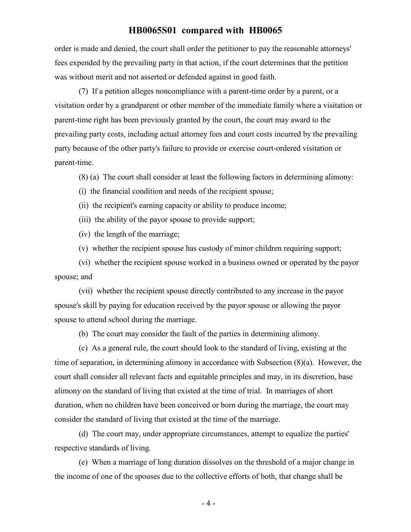order is made and denied, the court shall order the petitioner to pay the reasonable attorneys' fees expended by the prevailing party in that action, if the court determines that the petition was without merit and not asserted or defended against in good faith.

(7) If a petition alleges noncompliance with a parent-time order by a parent, or a visitation order by a grandparent or other member of the immediate family where a visitation or parent-time right has been previously granted by the court, the court may award to the prevailing party costs, including actual attorney fees and court costs incurred by the prevailing party because of the other party's failure to provide or exercise court-ordered visitation or parent-time.

(8) (a) The court shall consider at least the following factors in determining alimony:

- (i) the financial condition and needs of the recipient spouse;
- (ii) the recipient's earning capacity or ability to produce income;
- (iii) the ability of the payor spouse to provide support;

(iv) the length of the marriage;

(v) whether the recipient spouse has custody of minor children requiring support;

(vi) whether the recipient spouse worked in a business owned or operated by the payor spouse; and

(vii) whether the recipient spouse directly contributed to any increase in the payor spouse's skill by paying for education received by the payor spouse or allowing the payor spouse to attend school during the marriage.

(b) The court may consider the fault of the parties in determining alimony.

(c) As a general rule, the court should look to the standard of living, existing at the time of separation, in determining alimony in accordance with Subsection (8)(a). However, the court shall consider all relevant facts and equitable principles and may, in its discretion, base alimony on the standard of living that existed at the time of trial. In marriages of short duration, when no children have been conceived or born during the marriage, the court may consider the standard of living that existed at the time of the marriage.

(d) The court may, under appropriate circumstances, attempt to equalize the parties' respective standards of living.

(e) When a marriage of long duration dissolves on the threshold of a major change in the income of one of the spouses due to the collective efforts of both, that change shall be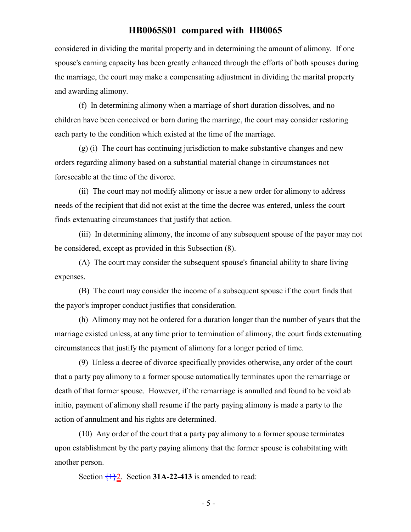considered in dividing the marital property and in determining the amount of alimony. If one spouse's earning capacity has been greatly enhanced through the efforts of both spouses during the marriage, the court may make a compensating adjustment in dividing the marital property and awarding alimony.

(f) In determining alimony when a marriage of short duration dissolves, and no children have been conceived or born during the marriage, the court may consider restoring each party to the condition which existed at the time of the marriage.

 $(g)$  (i) The court has continuing jurisdiction to make substantive changes and new orders regarding alimony based on a substantial material change in circumstances not foreseeable at the time of the divorce.

(ii) The court may not modify alimony or issue a new order for alimony to address needs of the recipient that did not exist at the time the decree was entered, unless the court finds extenuating circumstances that justify that action.

(iii) In determining alimony, the income of any subsequent spouse of the payor may not be considered, except as provided in this Subsection (8).

(A) The court may consider the subsequent spouse's financial ability to share living expenses.

(B) The court may consider the income of a subsequent spouse if the court finds that the payor's improper conduct justifies that consideration.

(h) Alimony may not be ordered for a duration longer than the number of years that the marriage existed unless, at any time prior to termination of alimony, the court finds extenuating circumstances that justify the payment of alimony for a longer period of time.

(9) Unless a decree of divorce specifically provides otherwise, any order of the court that a party pay alimony to a former spouse automatically terminates upon the remarriage or death of that former spouse. However, if the remarriage is annulled and found to be void ab initio, payment of alimony shall resume if the party paying alimony is made a party to the action of annulment and his rights are determined.

(10) Any order of the court that a party pay alimony to a former spouse terminates upon establishment by the party paying alimony that the former spouse is cohabitating with another person.

Section  $\frac{1}{2}$ . Section **31A-22-413** is amended to read: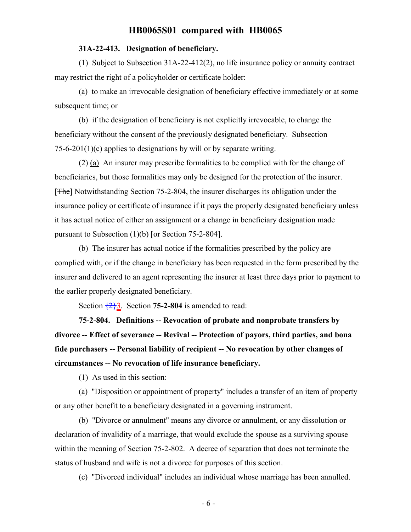#### **31A-22-413. Designation of beneficiary.**

(1) Subject to Subsection 31A-22-412(2), no life insurance policy or annuity contract may restrict the right of a policyholder or certificate holder:

(a) to make an irrevocable designation of beneficiary effective immediately or at some subsequent time; or

(b) if the designation of beneficiary is not explicitly irrevocable, to change the beneficiary without the consent of the previously designated beneficiary. Subsection  $75-6-201(1)(c)$  applies to designations by will or by separate writing.

(2) (a) An insurer may prescribe formalities to be complied with for the change of beneficiaries, but those formalities may only be designed for the protection of the insurer. [<del>The</del>] Notwithstanding Section 75-2-804, the insurer discharges its obligation under the insurance policy or certificate of insurance if it pays the properly designated beneficiary unless it has actual notice of either an assignment or a change in beneficiary designation made pursuant to Subsection  $(1)(b)$  [or Section 75-2-804].

(b) The insurer has actual notice if the formalities prescribed by the policy are complied with, or if the change in beneficiary has been requested in the form prescribed by the insurer and delivered to an agent representing the insurer at least three days prior to payment to the earlier properly designated beneficiary.

Section  $\frac{2}{2}$ . Section **75-2-804** is amended to read:

**75-2-804. Definitions -- Revocation of probate and nonprobate transfers by divorce -- Effect of severance -- Revival -- Protection of payors, third parties, and bona fide purchasers -- Personal liability of recipient -- No revocation by other changes of circumstances -- No revocation of life insurance beneficiary.**

(1) As used in this section:

(a) "Disposition or appointment of property" includes a transfer of an item of property or any other benefit to a beneficiary designated in a governing instrument.

(b) "Divorce or annulment" means any divorce or annulment, or any dissolution or declaration of invalidity of a marriage, that would exclude the spouse as a surviving spouse within the meaning of Section 75-2-802. A decree of separation that does not terminate the status of husband and wife is not a divorce for purposes of this section.

(c) "Divorced individual" includes an individual whose marriage has been annulled.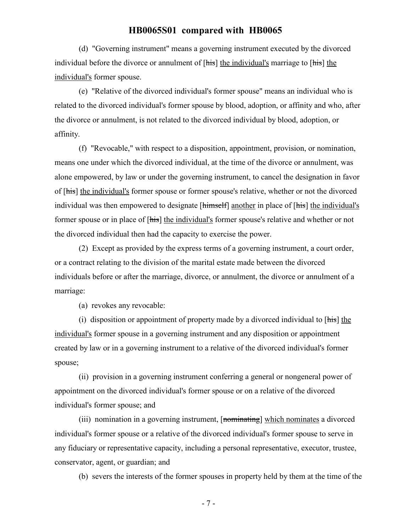(d) "Governing instrument" means a governing instrument executed by the divorced individual before the divorce or annulment of [his] the individual's marriage to [his] the individual's former spouse.

(e) "Relative of the divorced individual's former spouse" means an individual who is related to the divorced individual's former spouse by blood, adoption, or affinity and who, after the divorce or annulment, is not related to the divorced individual by blood, adoption, or affinity.

(f) "Revocable," with respect to a disposition, appointment, provision, or nomination, means one under which the divorced individual, at the time of the divorce or annulment, was alone empowered, by law or under the governing instrument, to cancel the designation in favor of [his] the individual's former spouse or former spouse's relative, whether or not the divorced individual was then empowered to designate [himself] another in place of [his] the individual's former spouse or in place of [his] the individual's former spouse's relative and whether or not the divorced individual then had the capacity to exercise the power.

(2) Except as provided by the express terms of a governing instrument, a court order, or a contract relating to the division of the marital estate made between the divorced individuals before or after the marriage, divorce, or annulment, the divorce or annulment of a marriage:

(a) revokes any revocable:

(i) disposition or appointment of property made by a divorced individual to  $[\overline{\text{his}}]$  the individual's former spouse in a governing instrument and any disposition or appointment created by law or in a governing instrument to a relative of the divorced individual's former spouse;

(ii) provision in a governing instrument conferring a general or nongeneral power of appointment on the divorced individual's former spouse or on a relative of the divorced individual's former spouse; and

(iii) nomination in a governing instrument, [nominating] which nominates a divorced individual's former spouse or a relative of the divorced individual's former spouse to serve in any fiduciary or representative capacity, including a personal representative, executor, trustee, conservator, agent, or guardian; and

(b) severs the interests of the former spouses in property held by them at the time of the

- 7 -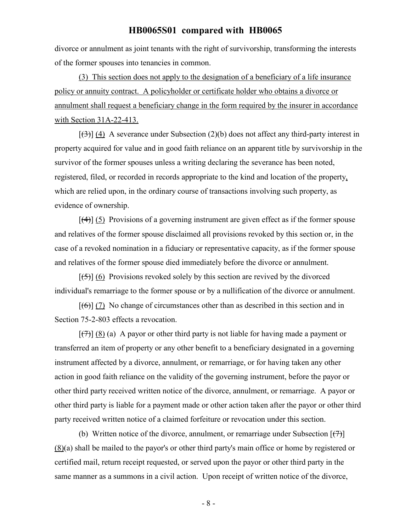divorce or annulment as joint tenants with the right of survivorship, transforming the interests of the former spouses into tenancies in common.

(3) This section does not apply to the designation of a beneficiary of a life insurance policy or annuity contract. A policyholder or certificate holder who obtains a divorce or annulment shall request a beneficiary change in the form required by the insurer in accordance with Section 31A-22-413.

 $[\frac{(3)}{(4)}]$  (4) A severance under Subsection (2)(b) does not affect any third-party interest in property acquired for value and in good faith reliance on an apparent title by survivorship in the survivor of the former spouses unless a writing declaring the severance has been noted, registered, filed, or recorded in records appropriate to the kind and location of the property, which are relied upon, in the ordinary course of transactions involving such property, as evidence of ownership.

 $[\frac{(4)}{(6)}]$  (5) Provisions of a governing instrument are given effect as if the former spouse and relatives of the former spouse disclaimed all provisions revoked by this section or, in the case of a revoked nomination in a fiduciary or representative capacity, as if the former spouse and relatives of the former spouse died immediately before the divorce or annulment.

 $[\frac{1}{5}]$  (6) Provisions revoked solely by this section are revived by the divorced individual's remarriage to the former spouse or by a nullification of the divorce or annulment.

 $[(6)] (7)$  No change of circumstances other than as described in this section and in Section 75-2-803 effects a revocation.

 $[\overline{7}](8)$  (a) A payor or other third party is not liable for having made a payment or transferred an item of property or any other benefit to a beneficiary designated in a governing instrument affected by a divorce, annulment, or remarriage, or for having taken any other action in good faith reliance on the validity of the governing instrument, before the payor or other third party received written notice of the divorce, annulment, or remarriage. A payor or other third party is liable for a payment made or other action taken after the payor or other third party received written notice of a claimed forfeiture or revocation under this section.

(b) Written notice of the divorce, annulment, or remarriage under Subsection  $[\overline{(7)}]$ (8)(a) shall be mailed to the payor's or other third party's main office or home by registered or certified mail, return receipt requested, or served upon the payor or other third party in the same manner as a summons in a civil action. Upon receipt of written notice of the divorce,

- 8 -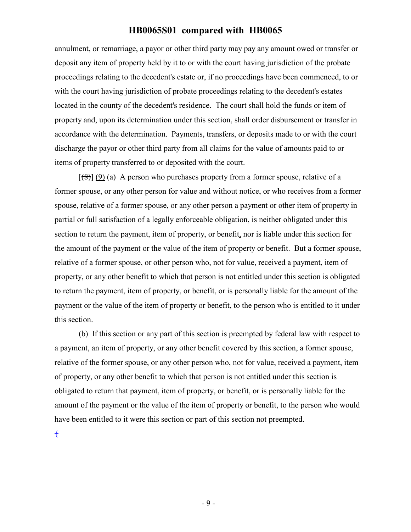annulment, or remarriage, a payor or other third party may pay any amount owed or transfer or deposit any item of property held by it to or with the court having jurisdiction of the probate proceedings relating to the decedent's estate or, if no proceedings have been commenced, to or with the court having jurisdiction of probate proceedings relating to the decedent's estates located in the county of the decedent's residence. The court shall hold the funds or item of property and, upon its determination under this section, shall order disbursement or transfer in accordance with the determination. Payments, transfers, or deposits made to or with the court discharge the payor or other third party from all claims for the value of amounts paid to or items of property transferred to or deposited with the court.

 $[(8)] (9) (a)$  A person who purchases property from a former spouse, relative of a former spouse, or any other person for value and without notice, or who receives from a former spouse, relative of a former spouse, or any other person a payment or other item of property in partial or full satisfaction of a legally enforceable obligation, is neither obligated under this section to return the payment, item of property, or benefit, nor is liable under this section for the amount of the payment or the value of the item of property or benefit. But a former spouse, relative of a former spouse, or other person who, not for value, received a payment, item of property, or any other benefit to which that person is not entitled under this section is obligated to return the payment, item of property, or benefit, or is personally liable for the amount of the payment or the value of the item of property or benefit, to the person who is entitled to it under this section.

(b) If this section or any part of this section is preempted by federal law with respect to a payment, an item of property, or any other benefit covered by this section, a former spouse, relative of the former spouse, or any other person who, not for value, received a payment, item of property, or any other benefit to which that person is not entitled under this section is obligated to return that payment, item of property, or benefit, or is personally liable for the amount of the payment or the value of the item of property or benefit, to the person who would have been entitled to it were this section or part of this section not preempted.

 $\ddagger$